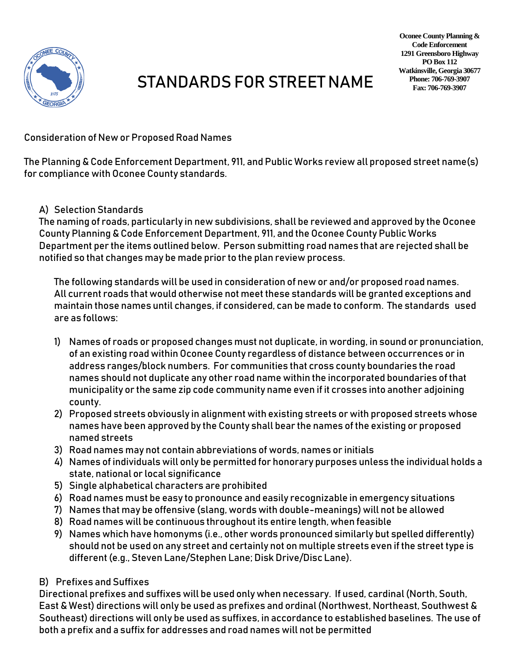

## STANDARDS FOR STREET NAME

Consideration of New or Proposed Road Names

The Planning & Code Enforcement Department, 911, and Public Works review all proposed street name(s) for compliance with Oconee County standards.

## A) Selection Standards

The naming of roads, particularly in new subdivisions, shall be reviewed and approved by the Oconee County Planning & Code Enforcement Department, 911, and the Oconee County Public Works Department per the items outlined below. Person submitting road names that are rejected shall be notified so that changes may be made prior to the plan review process.

The following standards will be used in consideration of new or and/or proposed road names. All current roads that would otherwise not meet these standards will be granted exceptions and maintain those names until changes, if considered, can be made to conform. The standards used are as follows:

- 1) Names of roads or proposed changes must not duplicate, in wording, in sound or pronunciation, of an existing road within Oconee County regardless of distance between occurrences or in address ranges/block numbers. For communities that cross county boundaries the road names should not duplicate any other road name within the incorporated boundaries of that municipality or the same zip code community name even if it crosses into another adjoining county.
- 2) Proposed streets obviously in alignment with existing streets or with proposed streets whose names have been approved by the County shall bear the names of the existing or proposed named streets
- 3) Road names may not contain abbreviations of words, names or initials
- 4) Names of individuals will only be permitted for honorary purposes unless the individual holds a state, national or local significance
- 5) Single alphabetical characters are prohibited
- 6) Road names must be easy to pronounce and easily recognizable in emergency situations
- 7) Names that may be offensive (slang, words with double-meanings) will not be allowed
- 8) Road names will be continuous throughout its entire length, when feasible
- 9) Names which have homonyms (i.e., other words pronounced similarly but spelled differently) should not be used on any street and certainly not on multiple streets even if the street type is different (e.g., Steven Lane/Stephen Lane; Disk Drive/Disc Lane).
- B) Prefixes and Suffixes

Directional prefixes and suffixes will be used only when necessary. If used, cardinal (North, South, East & West) directions will only be used as prefixes and ordinal (Northwest, Northeast, Southwest & Southeast) directions will only be used as suffixes, in accordance to established baselines. The use of both a prefix and a suffix for addresses and road names will not be permitted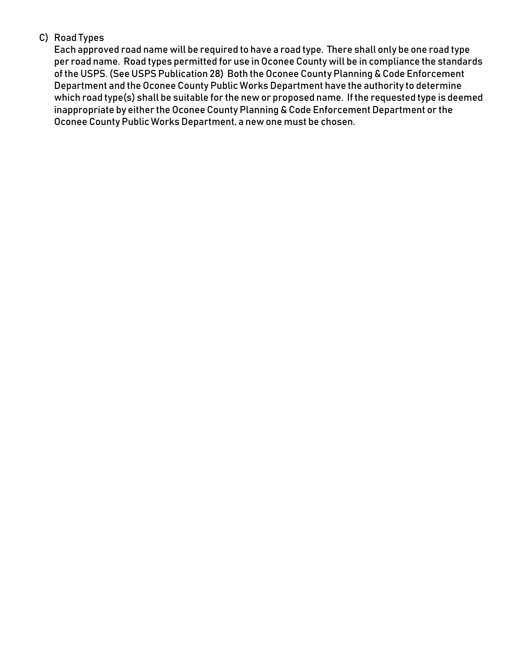## C) Road Types

Each approved road name will be required to have a road type. There shall only be one road type per road name. Road types permitted for use in Oconee County will be in compliance the standards of the USPS. (See USPS Publication 28) Both the Oconee County Planning & Code Enforcement Department and the Oconee County Public Works Department have the authority to determine which road type(s) shall be suitable for the new or proposed name. If the requested type is deemed inappropriate by either the Oconee County Planning & Code Enforcement Department or the Oconee County Public Works Department, a new one must be chosen.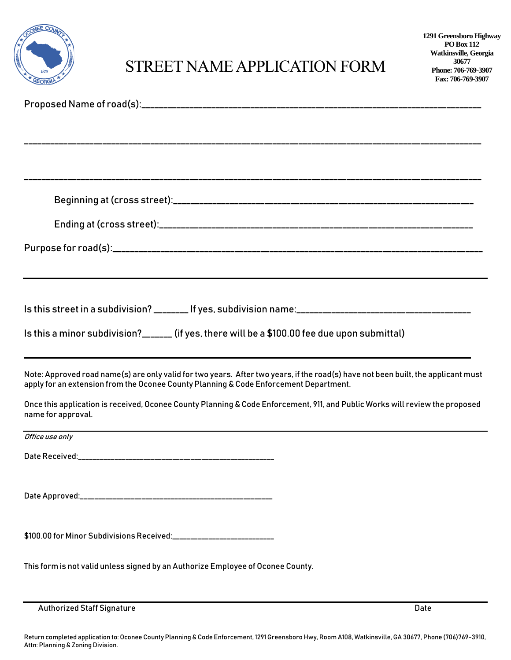| EE COUNTY |
|-----------|
| 1875      |
| * GEOR    |

## STREET NAME APPLICATION FORM

| Is this street in a subdivision? _______ If yes, subdivision name:__________________________________                                                                                                                       |      |
|----------------------------------------------------------------------------------------------------------------------------------------------------------------------------------------------------------------------------|------|
| Is this a minor subdivision?_______ (if yes, there will be a \$100.00 fee due upon submittal)                                                                                                                              |      |
|                                                                                                                                                                                                                            |      |
| Note: Approved road name(s) are only valid for two years. After two years, if the road(s) have not been built, the applicant must<br>apply for an extension from the Oconee County Planning & Code Enforcement Department. |      |
| Once this application is received, Oconee County Planning & Code Enforcement, 911, and Public Works will review the proposed<br>name for approval.                                                                         |      |
| ,我们也不会有什么。""我们的人,我们也不会有什么?""我们的人,我们也不会有什么?""我们的人,我们也不会有什么?""我们的人,我们也不会有什么?""我们的人<br>Office use only                                                                                                                        |      |
| Date Received:                                                                                                                                                                                                             |      |
|                                                                                                                                                                                                                            |      |
|                                                                                                                                                                                                                            |      |
|                                                                                                                                                                                                                            |      |
| \$100.00 for Minor Subdivisions Received:____________________________                                                                                                                                                      |      |
| This form is not valid unless signed by an Authorize Employee of Oconee County.                                                                                                                                            |      |
|                                                                                                                                                                                                                            |      |
| <b>Authorized Staff Signature</b>                                                                                                                                                                                          | Date |